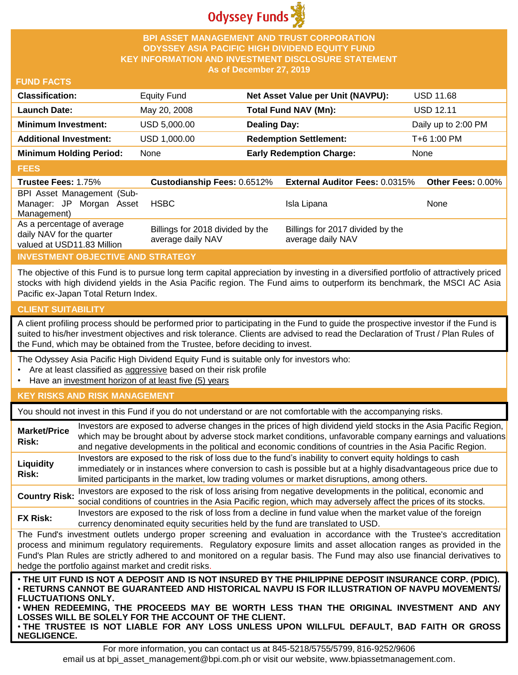

## **BPI ASSET MANAGEMENT AND TRUST CORPORATION ODYSSEY ASIA PACIFIC HIGH DIVIDEND EQUITY FUND KEY INFORMATION AND INVESTMENT DISCLOSURE STATEMENT As of December 27, 2019**

### **FUND FACTS**

| <b>Classification:</b>         | <b>Equity Fund</b> | Net Asset Value per Unit (NAVPU): | <b>USD 11.68</b>    |
|--------------------------------|--------------------|-----------------------------------|---------------------|
| <b>Launch Date:</b>            | May 20, 2008       | Total Fund NAV (Mn):              | <b>USD 12.11</b>    |
| <b>Minimum Investment:</b>     | USD 5,000.00       | <b>Dealing Day:</b>               | Daily up to 2:00 PM |
| <b>Additional Investment:</b>  | USD 1,000.00       | <b>Redemption Settlement:</b>     | T+6 1:00 PM         |
| <b>Minimum Holding Period:</b> | None               | <b>Early Redemption Charge:</b>   | None                |

#### **FEES**

| <b>Trustee Fees: 1.75%</b>                                                            | <b>Custodianship Fees: 0.6512%</b>                    | <b>External Auditor Fees: 0.0315%</b>                 | <b>Other Fees: 0.00%</b> |
|---------------------------------------------------------------------------------------|-------------------------------------------------------|-------------------------------------------------------|--------------------------|
| BPI Asset Management (Sub-<br>Manager: JP Morgan Asset<br>Management)                 | <b>HSBC</b>                                           | Isla Lipana                                           | None                     |
| As a percentage of average<br>daily NAV for the quarter<br>valued at USD11.83 Million | Billings for 2018 divided by the<br>average daily NAV | Billings for 2017 divided by the<br>average daily NAV |                          |

# **INVESTMENT OBJECTIVE AND STRATEGY**

The objective of this Fund is to pursue long term capital appreciation by investing in a diversified portfolio of attractively priced stocks with high dividend yields in the Asia Pacific region. The Fund aims to outperform its benchmark, the MSCI AC Asia Pacific ex-Japan Total Return Index.

# **CLIENT SUITABILITY**

**NEGLIGENCE.**

A client profiling process should be performed prior to participating in the Fund to guide the prospective investor if the Fund is suited to his/her investment objectives and risk tolerance. Clients are advised to read the Declaration of Trust / Plan Rules of the Fund, which may be obtained from the Trustee, before deciding to invest.

The Odyssey Asia Pacific High Dividend Equity Fund is suitable only for investors who:

- Are at least classified as aggressive based on their risk profile
- Have an investment horizon of at least five (5) years

# **KEY RISKS AND RISK MANAGEMENT**

You should not invest in this Fund if you do not understand or are not comfortable with the accompanying risks.

| <b>Market/Price</b><br>Risk: | Investors are exposed to adverse changes in the prices of high dividend yield stocks in the Asia Pacific Region,<br>which may be brought about by adverse stock market conditions, unfavorable company earnings and valuations<br>and negative developments in the political and economic conditions of countries in the Asia Pacific Region.                                                                                                   |
|------------------------------|-------------------------------------------------------------------------------------------------------------------------------------------------------------------------------------------------------------------------------------------------------------------------------------------------------------------------------------------------------------------------------------------------------------------------------------------------|
| Liquidity<br>Risk:           | Investors are exposed to the risk of loss due to the fund's inability to convert equity holdings to cash<br>immediately or in instances where conversion to cash is possible but at a highly disadvantageous price due to<br>limited participants in the market, low trading volumes or market disruptions, among others.                                                                                                                       |
| <b>Country Risk:</b>         | Investors are exposed to the risk of loss arising from negative developments in the political, economic and<br>social conditions of countries in the Asia Pacific region, which may adversely affect the prices of its stocks.                                                                                                                                                                                                                  |
| <b>FX Risk:</b>              | Investors are exposed to the risk of loss from a decline in fund value when the market value of the foreign<br>currency denominated equity securities held by the fund are translated to USD.                                                                                                                                                                                                                                                   |
|                              | The Fund's investment outlets undergo proper screening and evaluation in accordance with the Trustee's accreditation<br>process and minimum regulatory requirements. Regulatory exposure limits and asset allocation ranges as provided in the<br>Fund's Plan Rules are strictly adhered to and monitored on a regular basis. The Fund may also use financial derivatives to<br>hedge the portfolio against market and credit risks.            |
| <b>FLUCTUATIONS ONLY.</b>    | . THE UIT FUND IS NOT A DEPOSIT AND IS NOT INSURED BY THE PHILIPPINE DEPOSIT INSURANCE CORP. (PDIC).<br>⋅RETURNS CANNOT BE GUARANTEED AND HISTORICAL NAVPU IS FOR ILLUSTRATION OF NAVPU MOVEMENTS/<br>. WHEN REDEEMING, THE PROCEEDS MAY BE WORTH LESS THAN THE ORIGINAL INVESTMENT AND ANY<br>LOSSES WILL BE SOLELY FOR THE ACCOUNT OF THE CLIENT.<br>. THE TRUSTEE IS NOT LIABLE FOR ANY LOSS UNLESS UPON WILLFUL DEFAULT, BAD FAITH OR GROSS |

For more information, you can contact us at 845-5218/5755/5799, 816-9252/9606 email us at bpi\_asset\_management@bpi.com.ph or visit our website, www.bpiassetmanagement.com.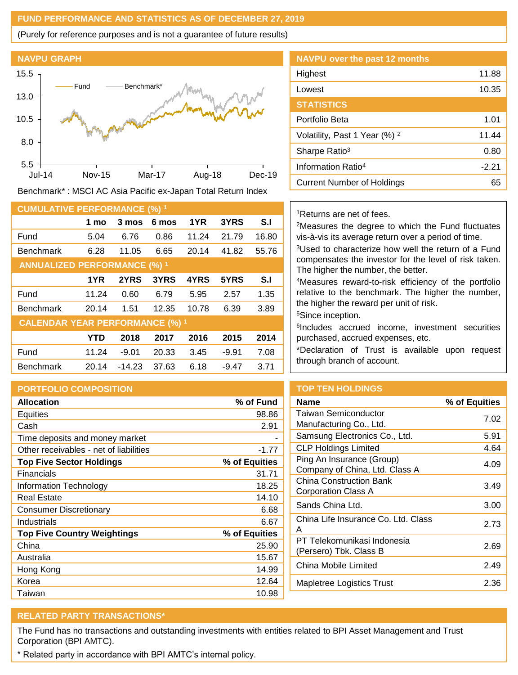## **FUND PERFORMANCE AND STATISTICS AS OF DECEMBER 27, 2019**

(Purely for reference purposes and is not a guarantee of future results)



Benchmark\* : MSCI AC Asia Pacific ex-Japan Total Return Index

| <b>CUMULATIVE PERFORMANCE (%) 1</b>    |            |          |       |       |         |       |
|----------------------------------------|------------|----------|-------|-------|---------|-------|
|                                        | 1 mo       | 3 mos    | 6 mos | 1YR   | 3YRS    | S.I   |
| Fund                                   | 5.04       | 6.76     | 0.86  | 11.24 | 21.79   | 16.80 |
| <b>Benchmark</b>                       | 6.28       | 11.05    | 6.65  | 20.14 | 41.82   | 55.76 |
| <b>ANNUALIZED PERFORMANCE (%) 1</b>    |            |          |       |       |         |       |
|                                        | 1YR        | 2YRS     | 3YRS  | 4YRS  | 5YRS    | S.I   |
| Fund                                   | 11.24      | 0.60     | 6.79  | 5.95  | 2.57    | 1.35  |
| <b>Benchmark</b>                       | 20.14      | 1.51     | 12.35 | 10.78 | 6.39    | 3.89  |
| <b>CALENDAR YEAR PERFORMANCE (%) 1</b> |            |          |       |       |         |       |
|                                        | <b>YTD</b> | 2018     | 2017  | 2016  | 2015    | 2014  |
| Fund                                   | 11.24      | $-9.01$  | 20.33 | 3.45  | $-9.91$ | 7.08  |
| <b>Benchmark</b>                       | 20.14      | $-14.23$ | 37.63 | 6.18  | $-9.47$ | 3.71  |

# **PORTFOLIO COMPOSITION**

| <b>Allocation</b>                      | % of Fund     |
|----------------------------------------|---------------|
| Equities                               | 98.86         |
| Cash                                   | 2.91          |
| Time deposits and money market         |               |
| Other receivables - net of liabilities | $-1.77$       |
| <b>Top Five Sector Holdings</b>        | % of Equities |
| Financials                             | 31.71         |
| Information Technology                 | 18.25         |
| <b>Real Estate</b>                     | 14.10         |
| <b>Consumer Discretionary</b>          | 6.68          |
| Industrials                            | 6.67          |
| <b>Top Five Country Weightings</b>     | % of Equities |
| China                                  | 25.90         |
| Australia                              | 15.67         |
| Hong Kong                              | 14.99         |
| Korea                                  | 12.64         |
| Taiwan                                 | 10.98         |

| <b>NAVPU</b> over the past 12 months     |         |
|------------------------------------------|---------|
| Highest                                  | 11.88   |
| Lowest                                   | 10.35   |
| <b>STATISTICS</b>                        |         |
| Portfolio Beta                           | 1.01    |
| Volatility, Past 1 Year (%) <sup>2</sup> | 11.44   |
| Sharpe Ratio <sup>3</sup>                | 0.80    |
| Information Ratio <sup>4</sup>           | $-2.21$ |
| <b>Current Number of Holdings</b>        | 65      |
|                                          |         |

<sup>1</sup>Returns are net of fees.

<sup>2</sup>Measures the degree to which the Fund fluctuates vis-à-vis its average return over a period of time.

<sup>3</sup>Used to characterize how well the return of a Fund compensates the investor for the level of risk taken. The higher the number, the better.

<sup>4</sup>Measures reward-to-risk efficiency of the portfolio relative to the benchmark. The higher the number, the higher the reward per unit of risk.

<sup>5</sup>Since inception.

6 Includes accrued income, investment securities purchased, accrued expenses, etc.

\*Declaration of Trust is available upon request through branch of account.

# **TOP TEN HOLDINGS**

| Name                                                        | % of Equities |
|-------------------------------------------------------------|---------------|
| <b>Taiwan Semiconductor</b><br>Manufacturing Co., Ltd.      | 7.02          |
| Samsung Electronics Co., Ltd.                               | 5.91          |
| <b>CLP Holdings Limited</b>                                 | 4.64          |
| Ping An Insurance (Group)<br>Company of China, Ltd. Class A | 4.09          |
| China Construction Bank<br>Corporation Class A              | 3.49          |
| Sands China Ltd.                                            | 3.00          |
| China Life Insurance Co. Ltd. Class<br>А                    | 2.73          |
| PT Telekomunikasi Indonesia<br>(Persero) Tbk. Class B       | 2.69          |
| China Mobile Limited                                        | 2.49          |
| Mapletree Logistics Trust                                   | 2.36          |
|                                                             |               |

# **RELATED PARTY TRANSACTIONS\***

The Fund has no transactions and outstanding investments with entities related to BPI Asset Management and Trust Corporation (BPI AMTC).

\* Related party in accordance with BPI AMTC's internal policy.